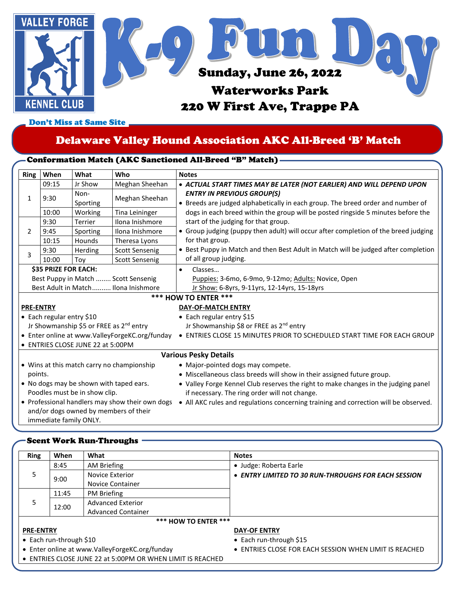

Don't Miss at Same Site

# Delaware Valley Hound Association AKC All-Breed 'B' Match

# Conformation Match (AKC Sanctioned All-Breed "B" Match)

| <b>Ring</b>                                                                                                        | When                              | What                                                | Who                                            | <b>Notes</b>                                                                                                         |  |  |  |  |  |
|--------------------------------------------------------------------------------------------------------------------|-----------------------------------|-----------------------------------------------------|------------------------------------------------|----------------------------------------------------------------------------------------------------------------------|--|--|--|--|--|
| $\mathbf{1}$                                                                                                       | 09:15                             | Jr Show                                             | Meghan Sheehan                                 | • ACTUAL START TIMES MAY BE LATER (NOT EARLIER) AND WILL DEPEND UPON                                                 |  |  |  |  |  |
|                                                                                                                    | 9:30                              | Non-<br>Sporting                                    | Meghan Sheehan                                 | <b>ENTRY IN PREVIOUS GROUP(S)</b><br>• Breeds are judged alphabetically in each group. The breed order and number of |  |  |  |  |  |
|                                                                                                                    | 10:00                             | Working                                             | Tina Leininger                                 | dogs in each breed within the group will be posted ringside 5 minutes before the                                     |  |  |  |  |  |
| 2                                                                                                                  | 9:30                              | <b>Terrier</b>                                      | Ilona Inishmore                                | start of the judging for that group.                                                                                 |  |  |  |  |  |
|                                                                                                                    | 9:45                              | Sporting                                            | Ilona Inishmore                                | • Group judging (puppy then adult) will occur after completion of the breed judging                                  |  |  |  |  |  |
|                                                                                                                    | 10:15                             | Hounds                                              | Theresa Lyons                                  | for that group.                                                                                                      |  |  |  |  |  |
| 3                                                                                                                  | 9:30                              | Herding                                             | <b>Scott Sensenig</b>                          | • Best Puppy in Match and then Best Adult in Match will be judged after completion                                   |  |  |  |  |  |
|                                                                                                                    | 10:00                             | Toy                                                 | <b>Scott Sensenig</b>                          | of all group judging.                                                                                                |  |  |  |  |  |
| <b>\$35 PRIZE FOR EACH:</b>                                                                                        |                                   |                                                     |                                                | Classes<br>$\bullet$                                                                                                 |  |  |  |  |  |
|                                                                                                                    |                                   |                                                     | Best Puppy in Match  Scott Sensenig            | Puppies: 3-6mo, 6-9mo, 9-12mo; Adults: Novice, Open                                                                  |  |  |  |  |  |
|                                                                                                                    |                                   |                                                     | Best Adult in Match Ilona Inishmore            | Jr Show: 6-8yrs, 9-11yrs, 12-14yrs, 15-18yrs                                                                         |  |  |  |  |  |
|                                                                                                                    | <b>*** HOW TO ENTER ***</b>       |                                                     |                                                |                                                                                                                      |  |  |  |  |  |
|                                                                                                                    | <b>PRE-ENTRY</b>                  |                                                     |                                                | DAY-OF-MATCH ENTRY                                                                                                   |  |  |  |  |  |
| • Each regular entry \$10                                                                                          |                                   |                                                     |                                                | • Each regular entry \$15                                                                                            |  |  |  |  |  |
|                                                                                                                    |                                   | Jr Showmanship \$5 or FREE as 2 <sup>nd</sup> entry |                                                | Jr Showmanship \$8 or FREE as 2 <sup>nd</sup> entry                                                                  |  |  |  |  |  |
|                                                                                                                    |                                   |                                                     | • Enter online at www.ValleyForgeKC.org/funday | • ENTRIES CLOSE 15 MINUTES PRIOR TO SCHEDULED START TIME FOR EACH GROUP                                              |  |  |  |  |  |
|                                                                                                                    | • ENTRIES CLOSE JUNE 22 at 5:00PM |                                                     |                                                |                                                                                                                      |  |  |  |  |  |
|                                                                                                                    | <b>Various Pesky Details</b>      |                                                     |                                                |                                                                                                                      |  |  |  |  |  |
|                                                                                                                    |                                   |                                                     | • Wins at this match carry no championship     | • Major-pointed dogs may compete.                                                                                    |  |  |  |  |  |
|                                                                                                                    | points.                           |                                                     |                                                | • Miscellaneous class breeds will show in their assigned future group.                                               |  |  |  |  |  |
| • No dogs may be shown with taped ears.                                                                            |                                   |                                                     |                                                | • Valley Forge Kennel Club reserves the right to make changes in the judging panel                                   |  |  |  |  |  |
| Poodles must be in show clip.                                                                                      |                                   |                                                     |                                                | if necessary. The ring order will not change.                                                                        |  |  |  |  |  |
| • Professional handlers may show their own dogs<br>and/or dogs owned by members of their<br>immediate family ONLY. |                                   |                                                     |                                                | • All AKC rules and regulations concerning training and correction will be observed.                                 |  |  |  |  |  |

#### Scent Work Run-Throughs

| <b>Ring</b>      | When                    | What                                                       | <b>Notes</b>                                           |
|------------------|-------------------------|------------------------------------------------------------|--------------------------------------------------------|
|                  | 8:45                    | <b>AM Briefing</b>                                         | • Judge: Roberta Earle                                 |
| 5                | 9:00                    | Novice Exterior                                            | • ENTRY LIMITED TO 30 RUN-THROUGHS FOR EACH SESSION    |
|                  |                         | Novice Container                                           |                                                        |
|                  | 11:45                   | PM Briefing                                                |                                                        |
| 5                | 12:00                   | <b>Advanced Exterior</b>                                   |                                                        |
|                  |                         | <b>Advanced Container</b>                                  |                                                        |
|                  |                         | <b>*** HOW TO ENTER ***</b>                                |                                                        |
| <b>PRE-ENTRY</b> |                         |                                                            | <b>DAY-OF ENTRY</b>                                    |
|                  | • Each run-through \$10 |                                                            | • Each run-through \$15                                |
|                  |                         | • Enter online at www.ValleyForgeKC.org/funday             | • ENTRIES CLOSE FOR EACH SESSION WHEN LIMIT IS REACHED |
|                  |                         | • ENTRIES CLOSE JUNE 22 at 5:00PM OR WHEN LIMIT IS REACHED |                                                        |